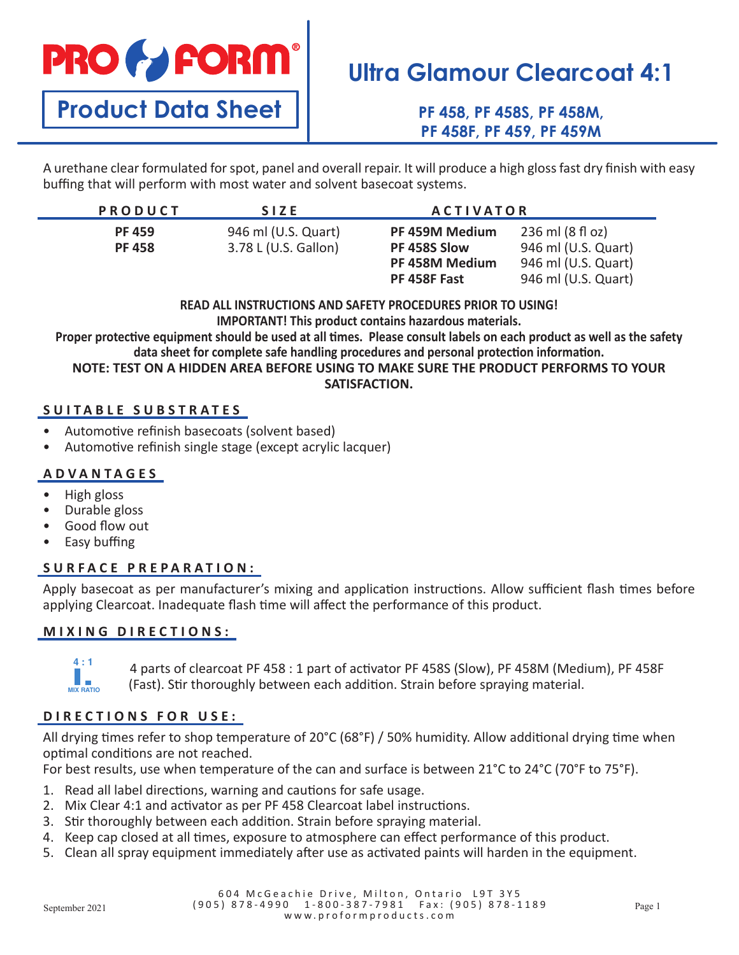**PRO & FORM** 

**Product Data Sheet**

# **Ultra Glamour Clearcoat 4:1**

**PF 458, PF 458S, PF 458M, PF 458F, PF 459, PF 459M**

A urethane clear formulated for spot, panel and overall repair. It will produce a high gloss fast dry finish with easy buffing that will perform with most water and solvent basecoat systems.

| <b>PRODUCT</b>                 | SIZE.                                       | <b>ACTIVATOR</b>                                 |                                                                |
|--------------------------------|---------------------------------------------|--------------------------------------------------|----------------------------------------------------------------|
| <b>PF 459</b><br><b>PF 458</b> | 946 ml (U.S. Quart)<br>3.78 L (U.S. Gallon) | PF 459M Medium<br>PF 458S Slow<br>PF 458M Medium | 236 ml (8 fl oz)<br>946 ml (U.S. Quart)<br>946 ml (U.S. Quart) |
|                                |                                             | PF 458F Fast                                     | 946 ml (U.S. Quart)                                            |

**READ ALL INSTRUCTIONS AND SAFETY PROCEDURES PRIOR TO USING! IMPORTANT! This product contains hazardous materials.**

**Proper protective equipment should be used at all times. Please consult labels on each product as well as the safety data sheet for complete safe handling procedures and personal protection information.**

**NOTE: TEST ON A HIDDEN AREA BEFORE USING TO MAKE SURE THE PRODUCT PERFORMS TO YOUR SATISFACTION.**

## **SUITABLE SUBSTRATES**

- Automotive refinish basecoats (solvent based)
- Automotive refinish single stage (except acrylic lacquer)

## **ADVANTAGES**

- High gloss
- Durable gloss
- Good flow out
- Easy buffing

## **SURFACE PREPARATION:**

Apply basecoat as per manufacturer's mixing and application instructions. Allow sufficient flash times before applying Clearcoat. Inadequate flash time will affect the performance of this product.

## **MIXING DIRECTIONS:**



4 parts of clearcoat PF 458 : 1 part of activator PF 458S (Slow), PF 458M (Medium), PF 458F **1 : 1 2 : 1 4 : 1 : 1** (Fast). Stir thoroughly between each addition. Strain before spraying material. **MIX RATIO MIX RATIO MIX RATIO**

# **DIRECTIONS FOR USE:**

All drying times refer to shop temperature of 20°C (68°F) / 50% humidity. Allow additional drying time when optimal conditions are not reached.

For best results, use when temperature of the can and surface is between 21°C to 24°C (70°F to 75°F).

- 1. Read all label directions, warning and cautions for safe usage.
- 2. Mix Clear 4:1 and activator as per PF 458 Clearcoat label instructions.
- 3. Stir thoroughly between each addition. Strain before spraying material.
- 4. Keep cap closed at all times, exposure to atmosphere can effect performance of this product.
- 5. Clean all spray equipment immediately after use as activated paints will harden in the equipment.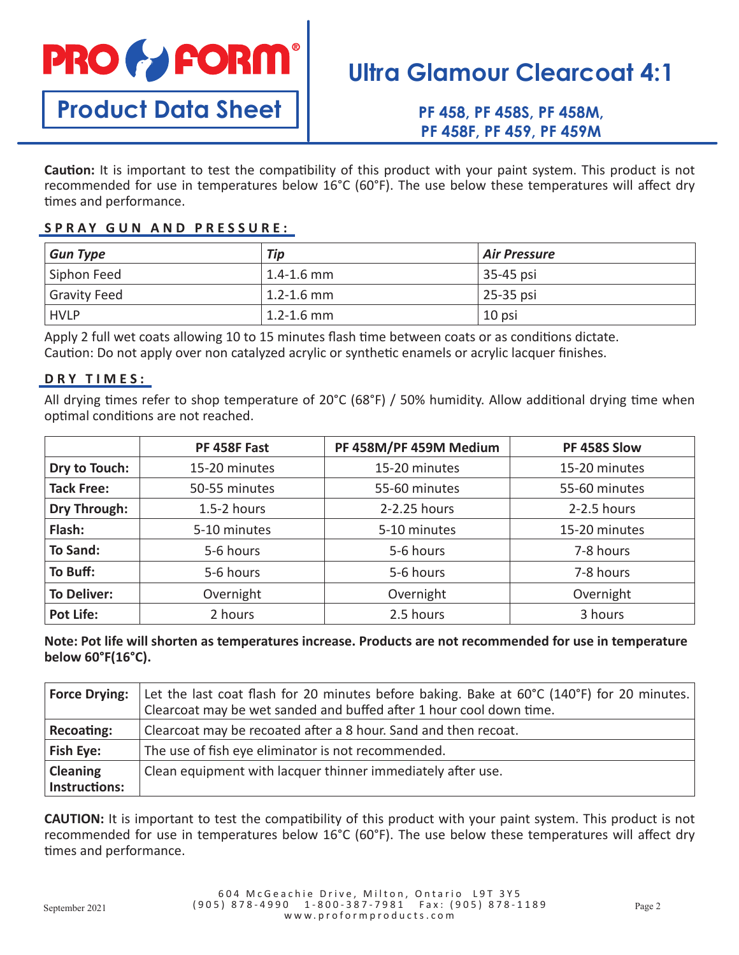

**Product Data Sheet**

# **Ultra Glamour Clearcoat 4:1**

**PF 458, PF 458S, PF 458M, PF 458F, PF 459, PF 459M**

**Caution:** It is important to test the compatibility of this product with your paint system. This product is not recommended for use in temperatures below 16°C (60°F). The use below these temperatures will affect dry times and performance.

### **SPRAY GUN AND PRESSURE:**

| <b>Gun Type</b>     | Tip                        | Air Pressure |
|---------------------|----------------------------|--------------|
| Siphon Feed         | $\vert$ 1.4-1.6 mm $\vert$ | 35-45 psi    |
| <b>Gravity Feed</b> | $\vert$ 1.2-1.6 mm         | 25-35 psi    |
| <b>HVLP</b>         | $\vert$ 1.2-1.6 mm         | 10 psi       |

Apply 2 full wet coats allowing 10 to 15 minutes flash time between coats or as conditions dictate. Caution: Do not apply over non catalyzed acrylic or synthetic enamels or acrylic lacquer finishes.

### **DRY TIMES:**

All drying times refer to shop temperature of 20°C (68°F) / 50% humidity. Allow additional drying time when optimal conditions are not reached.

|                     | PF 458F Fast    | PF 458M/PF 459M Medium | PF 458S Slow  |
|---------------------|-----------------|------------------------|---------------|
| Dry to Touch:       | 15-20 minutes   | 15-20 minutes          | 15-20 minutes |
| <b>Tack Free:</b>   | 50-55 minutes   | 55-60 minutes          | 55-60 minutes |
| <b>Dry Through:</b> | $1.5 - 2$ hours | 2-2.25 hours           | $2-2.5$ hours |
| Flash:              | 5-10 minutes    | 5-10 minutes           | 15-20 minutes |
| <b>To Sand:</b>     | 5-6 hours       | 5-6 hours              | 7-8 hours     |
| To Buff:            | 5-6 hours       | 5-6 hours              | 7-8 hours     |
| <b>To Deliver:</b>  | Overnight       | Overnight              | Overnight     |
| <b>Pot Life:</b>    | 2 hours         | 2.5 hours              | 3 hours       |

## **Note: Pot life will shorten as temperatures increase. Products are not recommended for use in temperature below 60°F(16°C).**

| <b>Force Drying:</b>             | Let the last coat flash for 20 minutes before baking. Bake at 60°C (140°F) for 20 minutes.<br>Clearcoat may be wet sanded and buffed after 1 hour cool down time. |
|----------------------------------|-------------------------------------------------------------------------------------------------------------------------------------------------------------------|
| Recoating:                       | Clearcoat may be recoated after a 8 hour. Sand and then recoat.                                                                                                   |
| <b>Fish Eye:</b>                 | The use of fish eye eliminator is not recommended.                                                                                                                |
| <b>Cleaning</b><br>Instructions: | Clean equipment with lacquer thinner immediately after use.                                                                                                       |

**CAUTION:** It is important to test the compatibility of this product with your paint system. This product is not recommended for use in temperatures below 16°C (60°F). The use below these temperatures will affect dry times and performance.